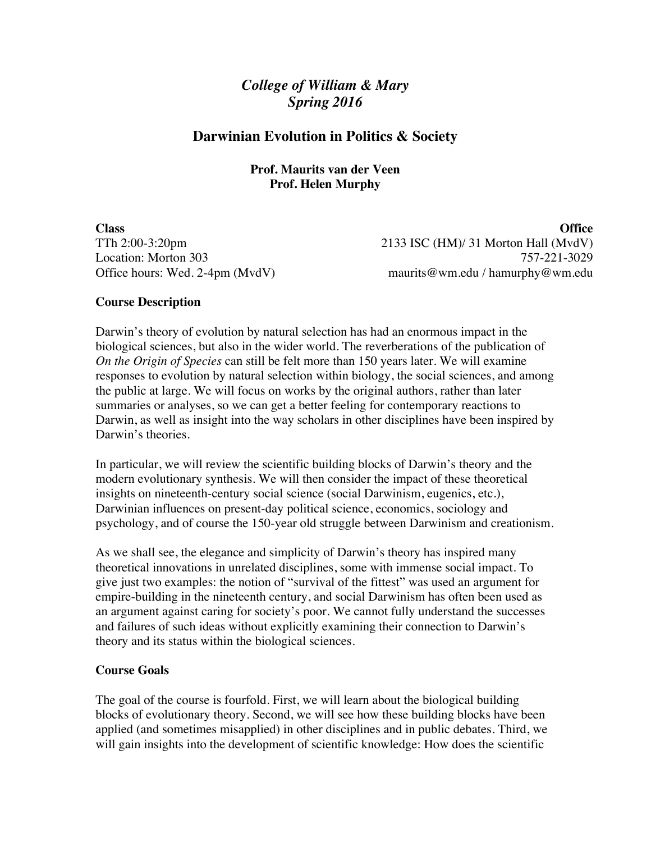# *College of William & Mary Spring 2016*

# **Darwinian Evolution in Politics & Society**

# **Prof. Maurits van der Veen Prof. Helen Murphy**

**Class Office** TTh 2:00-3:20pm 2133 ISC (HM)/ 31 Morton Hall (MvdV) Location: Morton 303 757-221-3029 Office hours: Wed. 2-4pm (MvdV) maurits@wm.edu / hamurphy@wm.edu

# **Course Description**

Darwin's theory of evolution by natural selection has had an enormous impact in the biological sciences, but also in the wider world. The reverberations of the publication of *On the Origin of Species* can still be felt more than 150 years later. We will examine responses to evolution by natural selection within biology, the social sciences, and among the public at large. We will focus on works by the original authors, rather than later summaries or analyses, so we can get a better feeling for contemporary reactions to Darwin, as well as insight into the way scholars in other disciplines have been inspired by Darwin's theories.

In particular, we will review the scientific building blocks of Darwin's theory and the modern evolutionary synthesis. We will then consider the impact of these theoretical insights on nineteenth-century social science (social Darwinism, eugenics, etc.), Darwinian influences on present-day political science, economics, sociology and psychology, and of course the 150-year old struggle between Darwinism and creationism.

As we shall see, the elegance and simplicity of Darwin's theory has inspired many theoretical innovations in unrelated disciplines, some with immense social impact. To give just two examples: the notion of "survival of the fittest" was used an argument for empire-building in the nineteenth century, and social Darwinism has often been used as an argument against caring for society's poor. We cannot fully understand the successes and failures of such ideas without explicitly examining their connection to Darwin's theory and its status within the biological sciences.

# **Course Goals**

The goal of the course is fourfold. First, we will learn about the biological building blocks of evolutionary theory. Second, we will see how these building blocks have been applied (and sometimes misapplied) in other disciplines and in public debates. Third, we will gain insights into the development of scientific knowledge: How does the scientific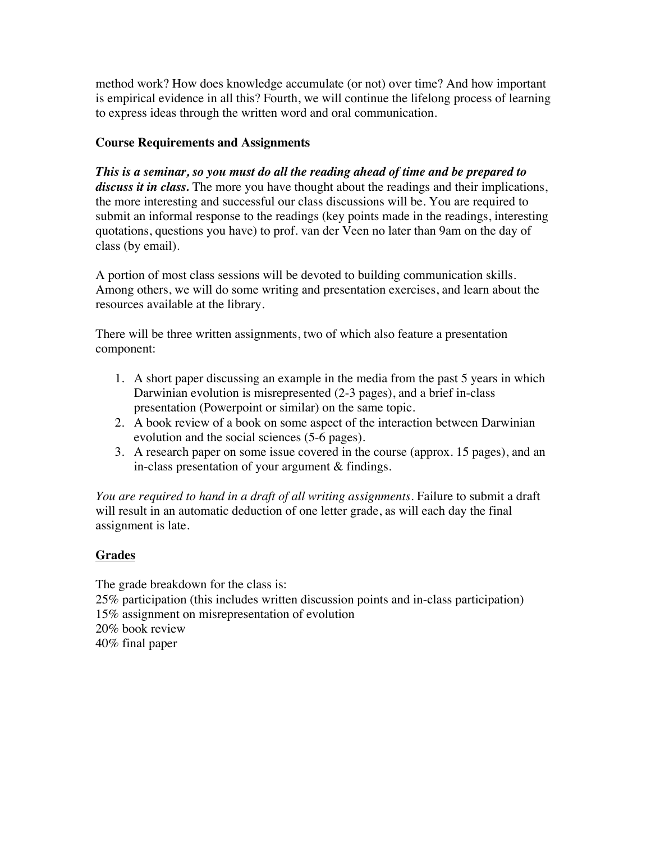method work? How does knowledge accumulate (or not) over time? And how important is empirical evidence in all this? Fourth, we will continue the lifelong process of learning to express ideas through the written word and oral communication.

# **Course Requirements and Assignments**

*This is a seminar, so you must do all the reading ahead of time and be prepared to discuss it in class.* The more you have thought about the readings and their implications, the more interesting and successful our class discussions will be. You are required to submit an informal response to the readings (key points made in the readings, interesting quotations, questions you have) to prof. van der Veen no later than 9am on the day of class (by email).

A portion of most class sessions will be devoted to building communication skills. Among others, we will do some writing and presentation exercises, and learn about the resources available at the library.

There will be three written assignments, two of which also feature a presentation component:

- 1. A short paper discussing an example in the media from the past 5 years in which Darwinian evolution is misrepresented (2-3 pages), and a brief in-class presentation (Powerpoint or similar) on the same topic.
- 2. A book review of a book on some aspect of the interaction between Darwinian evolution and the social sciences (5-6 pages).
- 3. A research paper on some issue covered in the course (approx. 15 pages), and an in-class presentation of your argument & findings.

*You are required to hand in a draft of all writing assignments*. Failure to submit a draft will result in an automatic deduction of one letter grade, as will each day the final assignment is late.

# **Grades**

The grade breakdown for the class is: 25% participation (this includes written discussion points and in-class participation) 15% assignment on misrepresentation of evolution 20% book review 40% final paper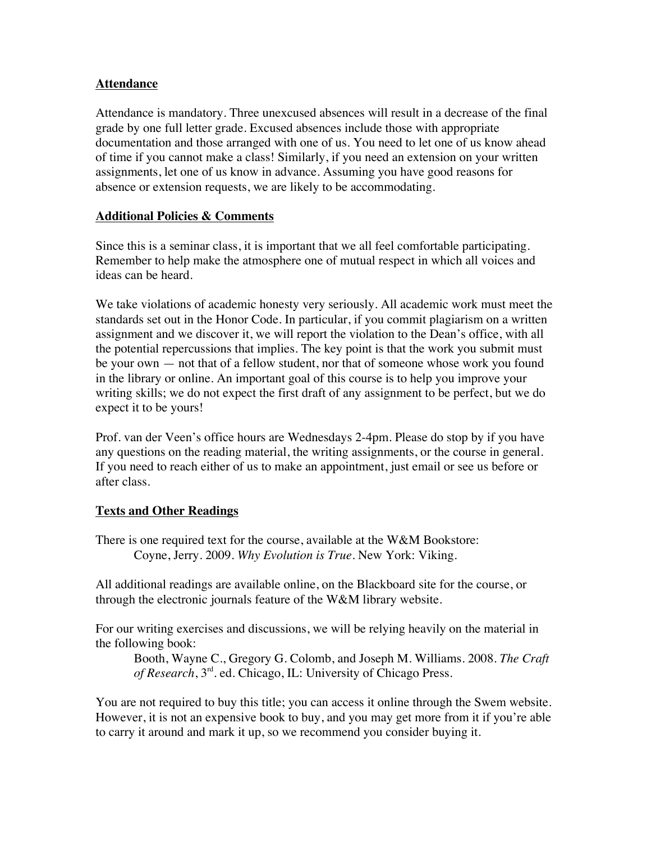# **Attendance**

Attendance is mandatory. Three unexcused absences will result in a decrease of the final grade by one full letter grade. Excused absences include those with appropriate documentation and those arranged with one of us. You need to let one of us know ahead of time if you cannot make a class! Similarly, if you need an extension on your written assignments, let one of us know in advance. Assuming you have good reasons for absence or extension requests, we are likely to be accommodating.

# **Additional Policies & Comments**

Since this is a seminar class, it is important that we all feel comfortable participating. Remember to help make the atmosphere one of mutual respect in which all voices and ideas can be heard.

We take violations of academic honesty very seriously. All academic work must meet the standards set out in the Honor Code. In particular, if you commit plagiarism on a written assignment and we discover it, we will report the violation to the Dean's office, with all the potential repercussions that implies. The key point is that the work you submit must be your own — not that of a fellow student, nor that of someone whose work you found in the library or online. An important goal of this course is to help you improve your writing skills; we do not expect the first draft of any assignment to be perfect, but we do expect it to be yours!

Prof. van der Veen's office hours are Wednesdays 2-4pm. Please do stop by if you have any questions on the reading material, the writing assignments, or the course in general. If you need to reach either of us to make an appointment, just email or see us before or after class.

# **Texts and Other Readings**

There is one required text for the course, available at the W&M Bookstore: Coyne, Jerry. 2009. *Why Evolution is True*. New York: Viking.

All additional readings are available online, on the Blackboard site for the course, or through the electronic journals feature of the W&M library website.

For our writing exercises and discussions, we will be relying heavily on the material in the following book:

Booth, Wayne C., Gregory G. Colomb, and Joseph M. Williams. 2008. *The Craft of Research*, 3rd. ed. Chicago, IL: University of Chicago Press.

You are not required to buy this title; you can access it online through the Swem website. However, it is not an expensive book to buy, and you may get more from it if you're able to carry it around and mark it up, so we recommend you consider buying it.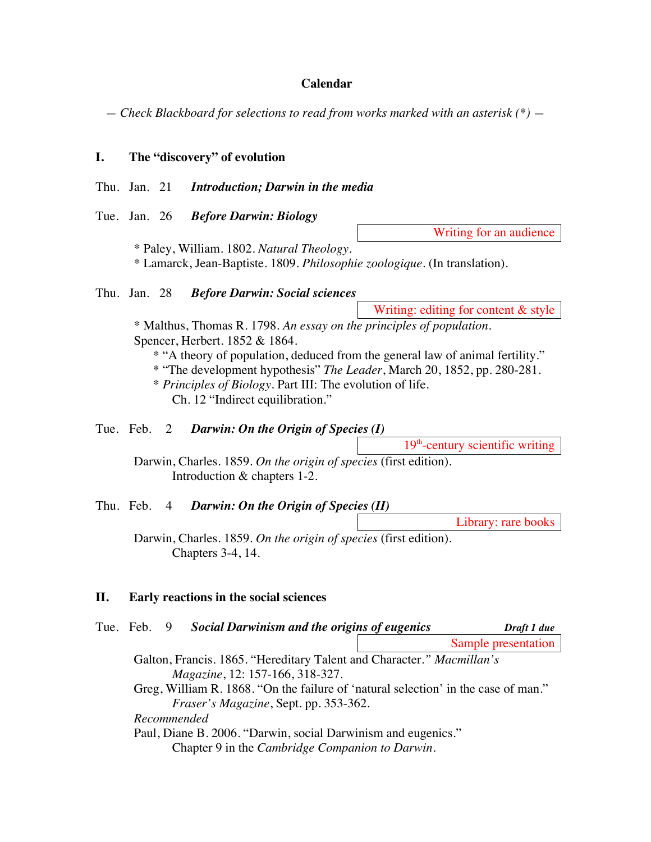#### **Calendar**

*— Check Blackboard for selections to read from works marked with an asterisk (\*) —*

## **I. The "discovery" of evolution**

- Thu. Jan. 21 *Introduction; Darwin in the media*
- Tue. Jan. 26 *Before Darwin: Biology*

Writing for an audience

\* Paley, William. 1802. *Natural Theology.* \* Lamarck, Jean-Baptiste. 1809. *Philosophie zoologique.* (In translation).

## Thu. Jan. 28 *Before Darwin: Social sciences*

Writing: editing for content & style

\* Malthus, Thomas R. 1798. *An essay on the principles of population*. Spencer, Herbert. 1852 & 1864.

- \* "A theory of population, deduced from the general law of animal fertility."
- \* "The development hypothesis" *The Leader*, March 20, 1852, pp. 280-281.
- \* *Principles of Biology.* Part III: The evolution of life. Ch. 12 "Indirect equilibration."

# Tue. Feb. 2 *Darwin: On the Origin of Species (I)*

 $19<sup>th</sup>$ -century scientific writing

Darwin, Charles. 1859. *On the origin of species* (first edition). Introduction & chapters 1-2.

## Thu. Feb. 4 *Darwin: On the Origin of Species (II)*

Library: rare books

Darwin, Charles. 1859. *On the origin of species* (first edition)*.* Chapters 3-4, 14.

## **II. Early reactions in the social sciences**

|                                                                                    |  |  | Tue. Feb. 9 Social Darwinism and the origins of eugenics      | Draft 1 due         |  |
|------------------------------------------------------------------------------------|--|--|---------------------------------------------------------------|---------------------|--|
|                                                                                    |  |  |                                                               | Sample presentation |  |
| Galton, Francis. 1865. "Hereditary Talent and Character." Macmillan's              |  |  |                                                               |                     |  |
|                                                                                    |  |  | <i>Magazine</i> , 12: 157-166, 318-327.                       |                     |  |
| Greg, William R. 1868. "On the failure of 'natural selection' in the case of man." |  |  |                                                               |                     |  |
|                                                                                    |  |  | <i>Fraser's Magazine</i> , Sept. pp. 353-362.                 |                     |  |
|                                                                                    |  |  | Recommended                                                   |                     |  |
|                                                                                    |  |  | Paul, Diane B. 2006. "Darwin, social Darwinism and eugenics." |                     |  |
|                                                                                    |  |  | Chapter 9 in the <i>Cambridge Companion to Darwin</i> .       |                     |  |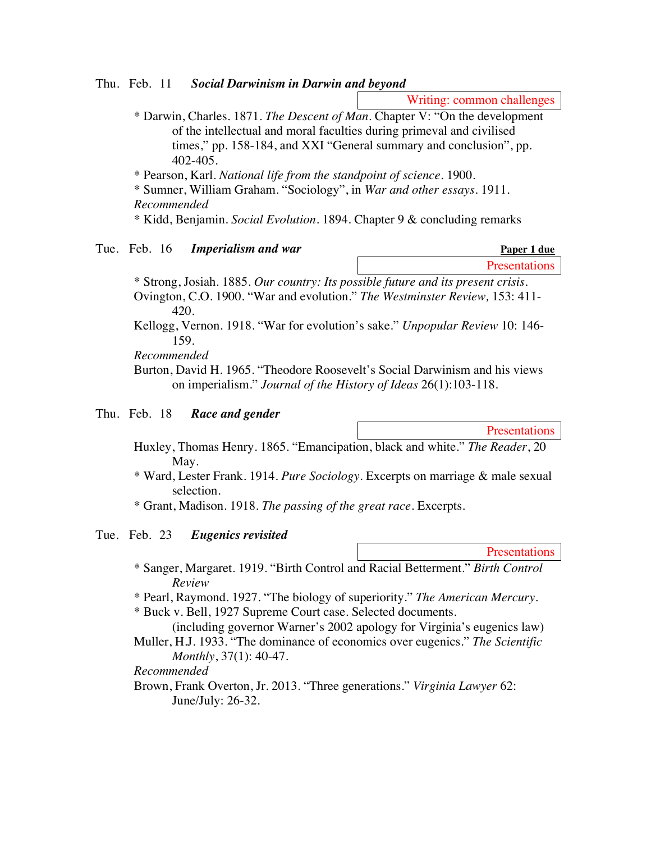Thu. Feb. 11 *Social Darwinism in Darwin and beyond*

Writing: common challenges

\* Darwin, Charles. 1871. *The Descent of Man.* Chapter V: "On the development of the intellectual and moral faculties during primeval and civilised times," pp. 158-184, and XXI "General summary and conclusion", pp. 402-405.

\* Pearson, Karl. *National life from the standpoint of science.* 1900.

\* Sumner, William Graham. "Sociology", in *War and other essays.* 1911. *Recommended*

\* Kidd, Benjamin. *Social Evolution.* 1894. Chapter 9 & concluding remarks

### Tue. Feb. 16 *Imperialism and war*

| Paper 1 due          |
|----------------------|
| <b>Presentations</b> |

\* Strong, Josiah. 1885. *Our country: Its possible future and its present crisis.*  Ovington, C.O. 1900. "War and evolution." *The Westminster Review,* 153: 411- 420.

Kellogg, Vernon. 1918. "War for evolution's sake." *Unpopular Review* 10: 146- 159.

#### *Recommended*

Burton, David H. 1965. "Theodore Roosevelt's Social Darwinism and his views on imperialism." *Journal of the History of Ideas* 26(1):103-118.

### Thu. Feb. 18 *Race and gender*

**Presentations** 

**Presentations** 

- Huxley, Thomas Henry. 1865. "Emancipation, black and white." *The Reader*, 20 May.
- \* Ward, Lester Frank. 1914. *Pure Sociology.* Excerpts on marriage & male sexual selection.
- \* Grant, Madison. 1918. *The passing of the great race.* Excerpts.

## Tue. Feb. 23 *Eugenics revisited*

- \* Sanger, Margaret. 1919. "Birth Control and Racial Betterment." *Birth Control Review*
- \* Pearl, Raymond. 1927. "The biology of superiority." *The American Mercury.*
- \* Buck v. Bell, 1927 Supreme Court case. Selected documents.

(including governor Warner's 2002 apology for Virginia's eugenics law) Muller, H.J. 1933. "The dominance of economics over eugenics." *The Scientific* 

*Monthly*, 37(1): 40-47.

### *Recommended*

Brown, Frank Overton, Jr. 2013. "Three generations." *Virginia Lawyer* 62: June/July: 26-32.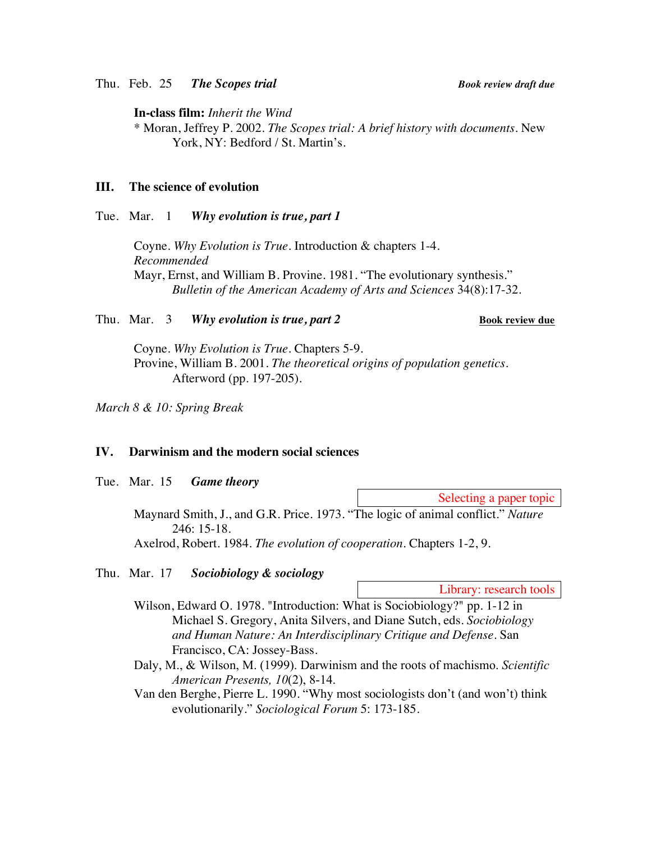Thu. Feb. 25 *The Scopes trial Book review draft due*

**In-class film:** *Inherit the Wind*

\* Moran, Jeffrey P. 2002. *The Scopes trial: A brief history with documents.* New York, NY: Bedford / St. Martin's.

### **III. The science of evolution**

#### Tue. Mar. 1 *Why evolution is true, part 1*

Coyne. *Why Evolution is True*. Introduction & chapters 1-4. *Recommended* Mayr, Ernst, and William B. Provine. 1981. "The evolutionary synthesis." *Bulletin of the American Academy of Arts and Sciences* 34(8):17-32.

#### Thu. Mar. 3 *Why evolution is true, part 2* **<b>Book review due**

Coyne. *Why Evolution is True*. Chapters 5-9. Provine, William B. 2001. *The theoretical origins of population genetics.* Afterword (pp. 197-205).

*March 8 & 10: Spring Break*

## **IV. Darwinism and the modern social sciences**

Tue. Mar. 15 *Game theory*

Selecting a paper topic

Maynard Smith, J., and G.R. Price. 1973. "The logic of animal conflict." *Nature*  246: 15-18.

Axelrod, Robert. 1984. *The evolution of cooperation*. Chapters 1-2, 9.

# Thu. Mar. 17 *Sociobiology & sociology*

Library: research tools

Wilson, Edward O. 1978. "Introduction: What is Sociobiology?" pp. 1-12 in Michael S. Gregory, Anita Silvers, and Diane Sutch, eds. *Sociobiology and Human Nature: An Interdisciplinary Critique and Defense.* San Francisco, CA: Jossey-Bass.

Daly, M., & Wilson, M. (1999). Darwinism and the roots of machismo. *Scientific American Presents, 10*(2), 8-14.

Van den Berghe, Pierre L. 1990. "Why most sociologists don't (and won't) think evolutionarily." *Sociological Forum* 5: 173-185.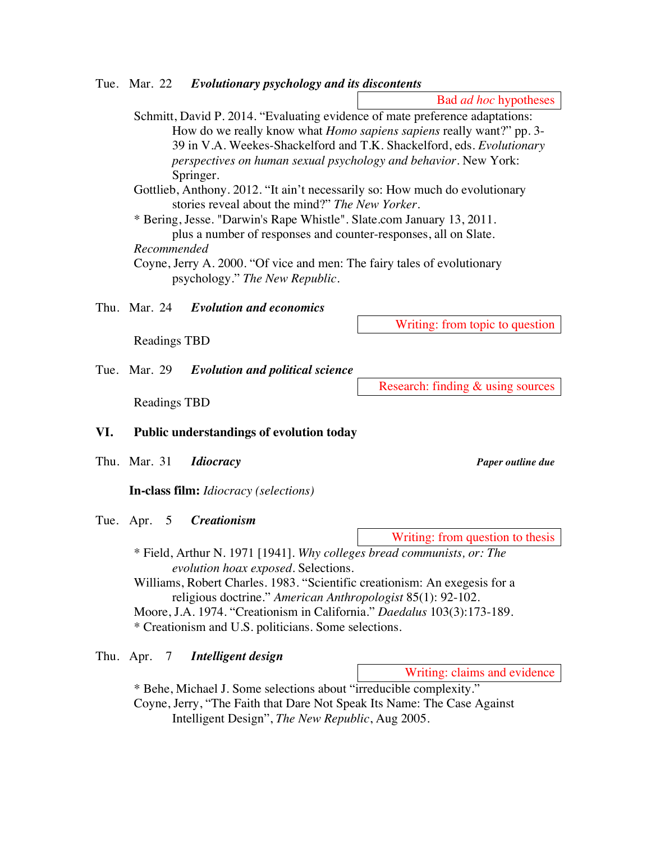Schmitt, David P. 2014. "Evaluating evidence of mate preference adaptations: How do we really know what *Homo sapiens sapiens* really want?" pp. 3- 39 in V.A. Weekes-Shackelford and T.K. Shackelford, eds. *Evolutionary perspectives on human sexual psychology and behavior.* New York: Springer. Gottlieb, Anthony. 2012. "It ain't necessarily so: How much do evolutionary stories reveal about the mind?" *The New Yorker*. \* Bering, Jesse. "Darwin's Rape Whistle". Slate.com January 13, 2011. plus a number of responses and counter-responses, all on Slate. *Recommended* Coyne, Jerry A. 2000. "Of vice and men: The fairy tales of evolutionary psychology." *The New Republic.*

Thu. Mar. 24 *Evolution and economics*

Readings TBD

Tue. Mar. 29 *Evolution and political science*

Readings TBD

## **VI. Public understandings of evolution today**

Thu. Mar. 31 *Idiocracy Paper outline due*

**In-class film:** *Idiocracy (selections)*

Tue. Apr. 5 *Creationism*

Writing: from question to thesis

\* Field, Arthur N. 1971 [1941]. *Why colleges bread communists, or: The evolution hoax exposed.* Selections.

Williams, Robert Charles. 1983. "Scientific creationism: An exegesis for a religious doctrine." *American Anthropologist* 85(1): 92-102.

Moore, J.A. 1974. "Creationism in California." *Daedalus* 103(3):173-189. \* Creationism and U.S. politicians. Some selections.

Thu. Apr. 7 *Intelligent design*

Writing: claims and evidence

\* Behe, Michael J. Some selections about "irreducible complexity." Coyne, Jerry, "The Faith that Dare Not Speak Its Name: The Case Against Intelligent Design", *The New Republic*, Aug 2005.

Writing: from topic to question

Research: finding & using sources

Tue. Mar. 22 *Evolutionary psychology and its discontents*

Bad *ad hoc* hypotheses